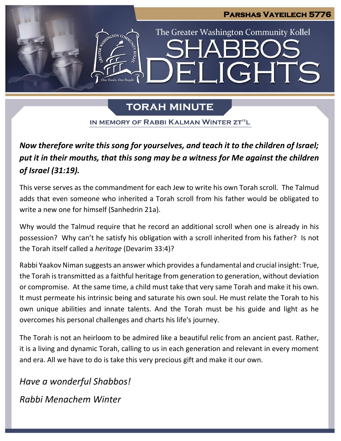

# **TORAH MINUTE**

IN MEMORY OF RABBI KALMAN WINTER ZT"L

*Now therefore write this song for yourselves, and teach it to the children of Israel; put it in their mouths, that this song may be a witness for Me against the children of Israel (31:19).*

This verse serves as the commandment for each Jew to write his own Torah scroll. The Talmud adds that even someone who inherited a Torah scroll from his father would be obligated to write a new one for himself (Sanhedrin 21a).

Why would the Talmud require that he record an additional scroll when one is already in his possession? Why can't he satisfy his obligation with a scroll inherited from his father? Is not the Torah itself called a *heritage* (Devarim 33:4)?

Rabbi Yaakov Niman suggests an answer which provides a fundamental and crucial insight: True, the Torah is transmitted as a faithful heritage from generation to generation, without deviation or compromise. At the same time, a child must take that very same Torah and make it his own. It must permeate his intrinsic being and saturate his own soul. He must relate the Torah to his own unique abilities and innate talents. And the Torah must be his guide and light as he overcomes his personal challenges and charts his life's journey.

The Torah is not an heirloom to be admired like a beautiful relic from an ancient past. Rather, it is a living and dynamic Torah, calling to us in each generation and relevant in every moment and era. All we have to do is take this very precious gift and make it our own.

*Have a wonderful Shabbos! Rabbi Menachem Winter*